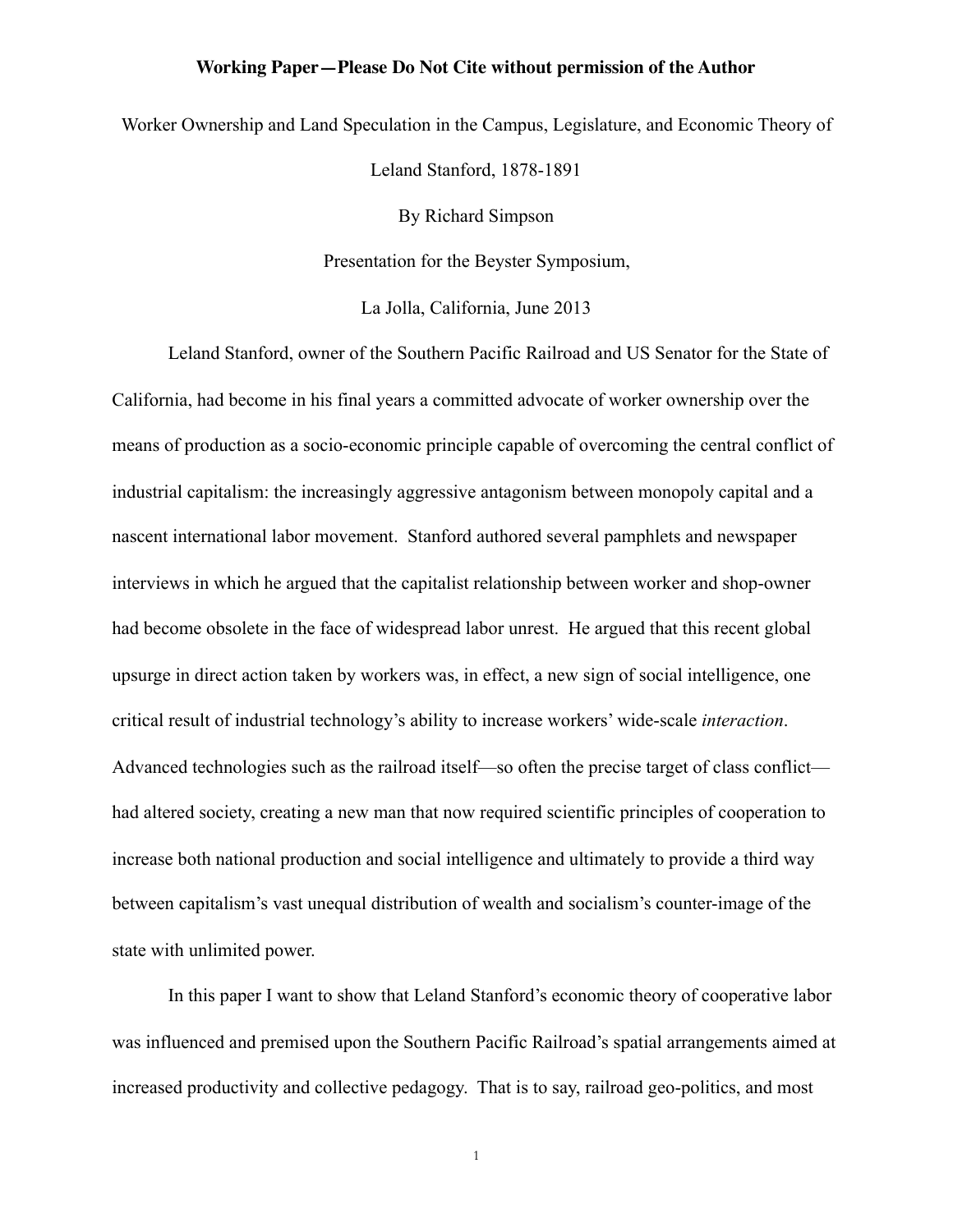Worker Ownership and Land Speculation in the Campus, Legislature, and Economic Theory of

Leland Stanford, 1878-1891

By Richard Simpson

Presentation for the Beyster Symposium,

La Jolla, California, June 2013

Leland Stanford, owner of the Southern Pacific Railroad and US Senator for the State of California, had become in his final years a committed advocate of worker ownership over the means of production as a socio-economic principle capable of overcoming the central conflict of industrial capitalism: the increasingly aggressive antagonism between monopoly capital and a nascent international labor movement. Stanford authored several pamphlets and newspaper interviews in which he argued that the capitalist relationship between worker and shop-owner had become obsolete in the face of widespread labor unrest. He argued that this recent global upsurge in direct action taken by workers was, in effect, a new sign of social intelligence, one critical result of industrial technology's ability to increase workers' wide-scale *interaction*. Advanced technologies such as the railroad itself—so often the precise target of class conflict had altered society, creating a new man that now required scientific principles of cooperation to increase both national production and social intelligence and ultimately to provide a third way between capitalism's vast unequal distribution of wealth and socialism's counter-image of the state with unlimited power.

In this paper I want to show that Leland Stanford's economic theory of cooperative labor was influenced and premised upon the Southern Pacific Railroad's spatial arrangements aimed at increased productivity and collective pedagogy. That is to say, railroad geo-politics, and most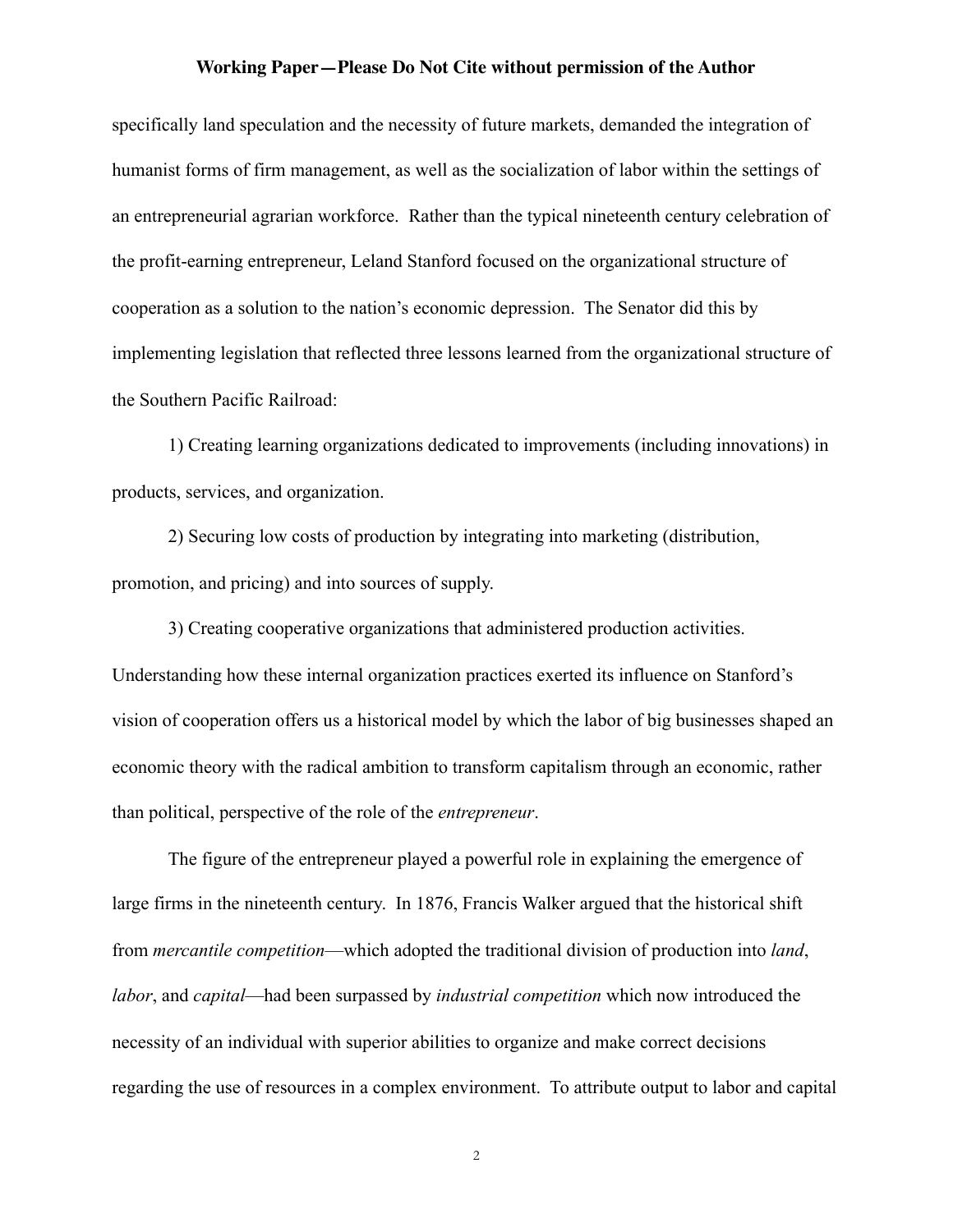specifically land speculation and the necessity of future markets, demanded the integration of humanist forms of firm management, as well as the socialization of labor within the settings of an entrepreneurial agrarian workforce. Rather than the typical nineteenth century celebration of the profit-earning entrepreneur, Leland Stanford focused on the organizational structure of cooperation as a solution to the nation's economic depression. The Senator did this by implementing legislation that reflected three lessons learned from the organizational structure of the Southern Pacific Railroad:

1) Creating learning organizations dedicated to improvements (including innovations) in products, services, and organization.

2) Securing low costs of production by integrating into marketing (distribution, promotion, and pricing) and into sources of supply.

3) Creating cooperative organizations that administered production activities. Understanding how these internal organization practices exerted its influence on Stanford's vision of cooperation offers us a historical model by which the labor of big businesses shaped an economic theory with the radical ambition to transform capitalism through an economic, rather than political, perspective of the role of the *entrepreneur*.

 The figure of the entrepreneur played a powerful role in explaining the emergence of large firms in the nineteenth century. In 1876, Francis Walker argued that the historical shift from *mercantile competition*—which adopted the traditional division of production into *land*, *labor*, and *capital*—had been surpassed by *industrial competition* which now introduced the necessity of an individual with superior abilities to organize and make correct decisions regarding the use of resources in a complex environment. To attribute output to labor and capital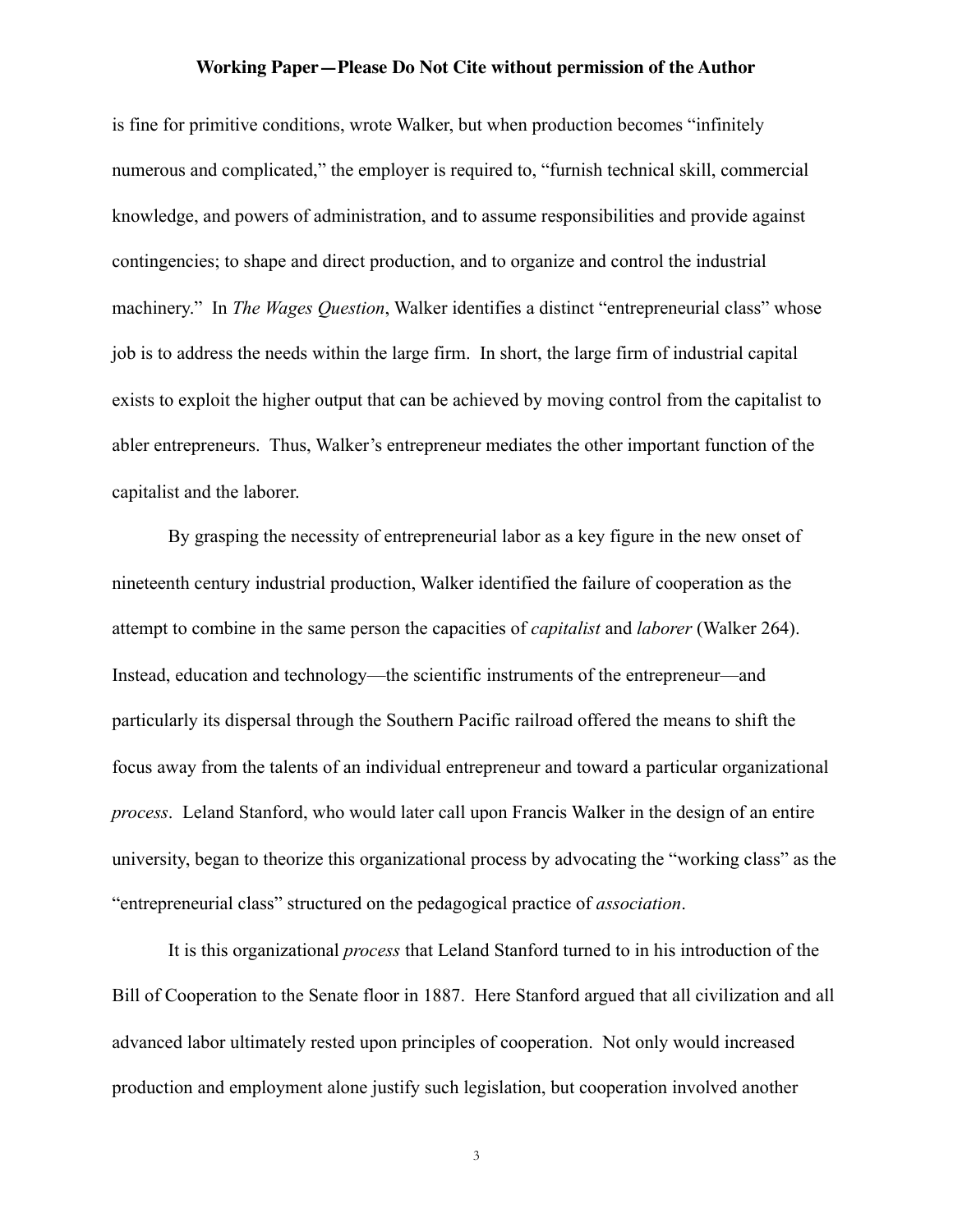is fine for primitive conditions, wrote Walker, but when production becomes "infinitely numerous and complicated," the employer is required to, "furnish technical skill, commercial knowledge, and powers of administration, and to assume responsibilities and provide against contingencies; to shape and direct production, and to organize and control the industrial machinery." In *The Wages Question*, Walker identifies a distinct "entrepreneurial class" whose job is to address the needs within the large firm. In short, the large firm of industrial capital exists to exploit the higher output that can be achieved by moving control from the capitalist to abler entrepreneurs. Thus, Walker's entrepreneur mediates the other important function of the capitalist and the laborer.

By grasping the necessity of entrepreneurial labor as a key figure in the new onset of nineteenth century industrial production, Walker identified the failure of cooperation as the attempt to combine in the same person the capacities of *capitalist* and *laborer* (Walker 264). Instead, education and technology—the scientific instruments of the entrepreneur—and particularly its dispersal through the Southern Pacific railroad offered the means to shift the focus away from the talents of an individual entrepreneur and toward a particular organizational *process*. Leland Stanford, who would later call upon Francis Walker in the design of an entire university, began to theorize this organizational process by advocating the "working class" as the "entrepreneurial class" structured on the pedagogical practice of *association*.

It is this organizational *process* that Leland Stanford turned to in his introduction of the Bill of Cooperation to the Senate floor in 1887. Here Stanford argued that all civilization and all advanced labor ultimately rested upon principles of cooperation. Not only would increased production and employment alone justify such legislation, but cooperation involved another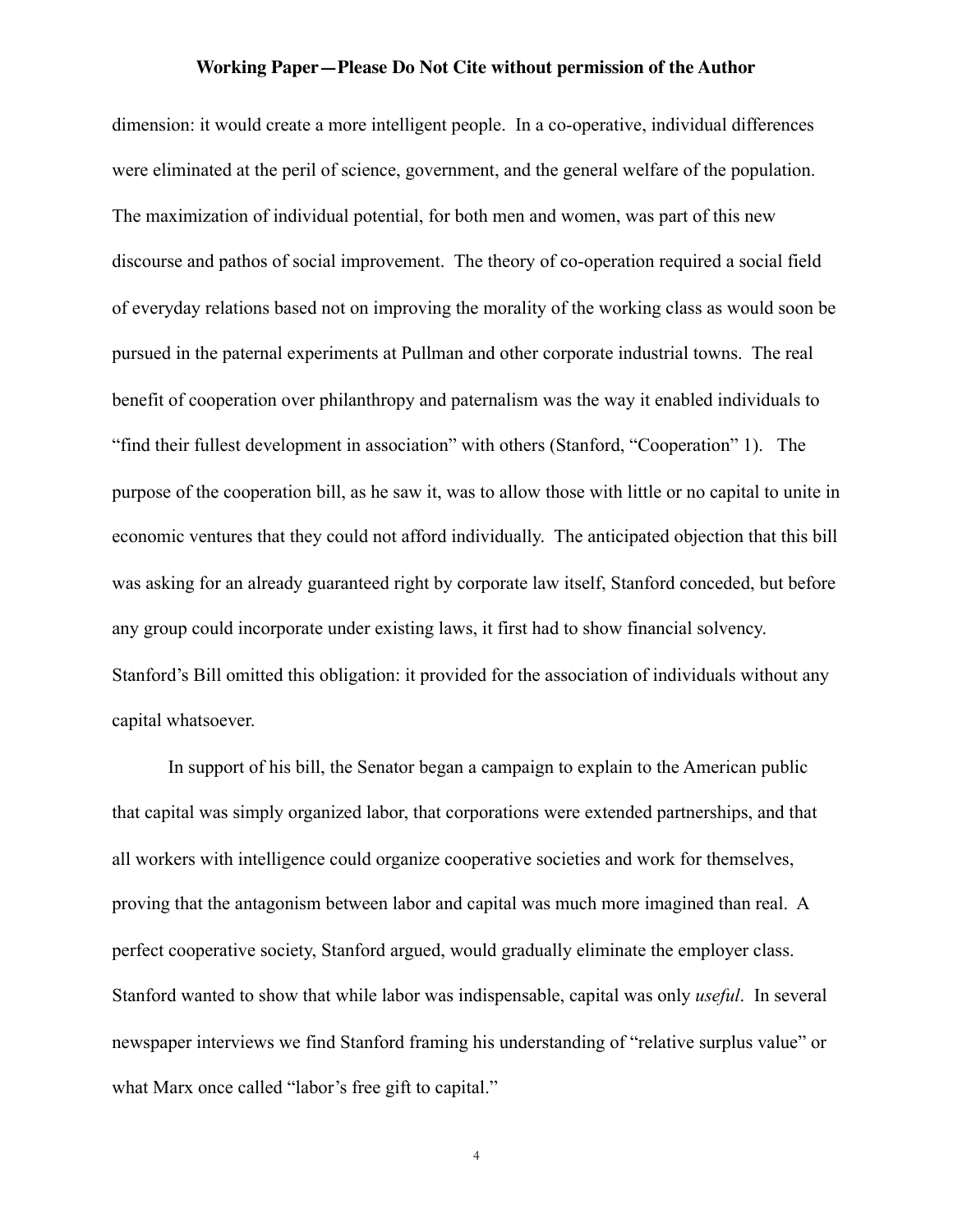dimension: it would create a more intelligent people. In a co-operative, individual differences were eliminated at the peril of science, government, and the general welfare of the population. The maximization of individual potential, for both men and women, was part of this new discourse and pathos of social improvement. The theory of co-operation required a social field of everyday relations based not on improving the morality of the working class as would soon be pursued in the paternal experiments at Pullman and other corporate industrial towns. The real benefit of cooperation over philanthropy and paternalism was the way it enabled individuals to "find their fullest development in association" with others (Stanford, "Cooperation" 1). The purpose of the cooperation bill, as he saw it, was to allow those with little or no capital to unite in economic ventures that they could not afford individually. The anticipated objection that this bill was asking for an already guaranteed right by corporate law itself, Stanford conceded, but before any group could incorporate under existing laws, it first had to show financial solvency. Stanford's Bill omitted this obligation: it provided for the association of individuals without any capital whatsoever.

 In support of his bill, the Senator began a campaign to explain to the American public that capital was simply organized labor, that corporations were extended partnerships, and that all workers with intelligence could organize cooperative societies and work for themselves, proving that the antagonism between labor and capital was much more imagined than real. A perfect cooperative society, Stanford argued, would gradually eliminate the employer class. Stanford wanted to show that while labor was indispensable, capital was only *useful*. In several newspaper interviews we find Stanford framing his understanding of "relative surplus value" or what Marx once called "labor's free gift to capital."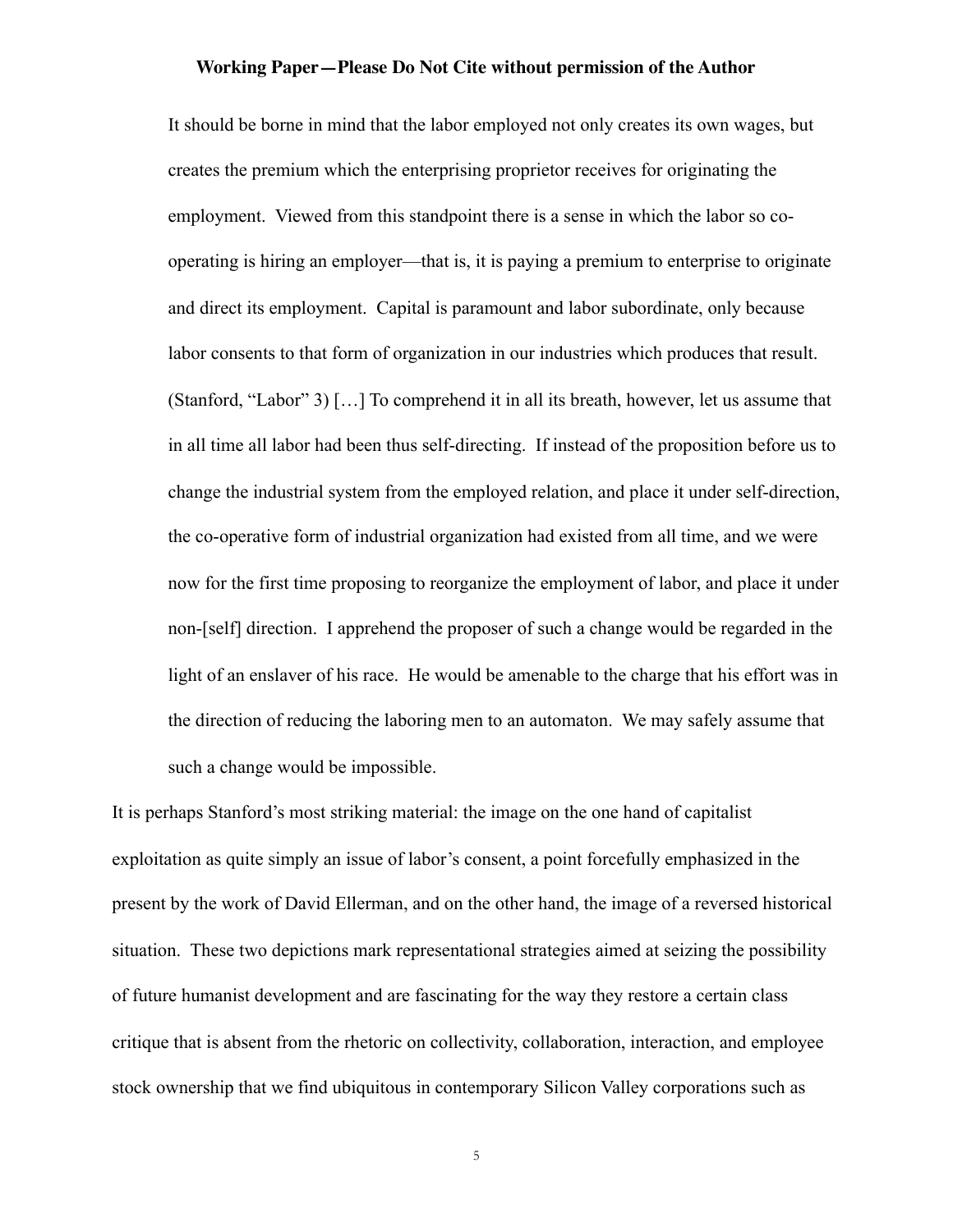It should be borne in mind that the labor employed not only creates its own wages, but creates the premium which the enterprising proprietor receives for originating the employment. Viewed from this standpoint there is a sense in which the labor so cooperating is hiring an employer—that is, it is paying a premium to enterprise to originate and direct its employment. Capital is paramount and labor subordinate, only because labor consents to that form of organization in our industries which produces that result. (Stanford, "Labor" 3) […] To comprehend it in all its breath, however, let us assume that in all time all labor had been thus self-directing. If instead of the proposition before us to change the industrial system from the employed relation, and place it under self-direction, the co-operative form of industrial organization had existed from all time, and we were now for the first time proposing to reorganize the employment of labor, and place it under non-[self] direction. I apprehend the proposer of such a change would be regarded in the light of an enslaver of his race. He would be amenable to the charge that his effort was in the direction of reducing the laboring men to an automaton. We may safely assume that such a change would be impossible.

It is perhaps Stanford's most striking material: the image on the one hand of capitalist exploitation as quite simply an issue of labor's consent, a point forcefully emphasized in the present by the work of David Ellerman, and on the other hand, the image of a reversed historical situation. These two depictions mark representational strategies aimed at seizing the possibility of future humanist development and are fascinating for the way they restore a certain class critique that is absent from the rhetoric on collectivity, collaboration, interaction, and employee stock ownership that we find ubiquitous in contemporary Silicon Valley corporations such as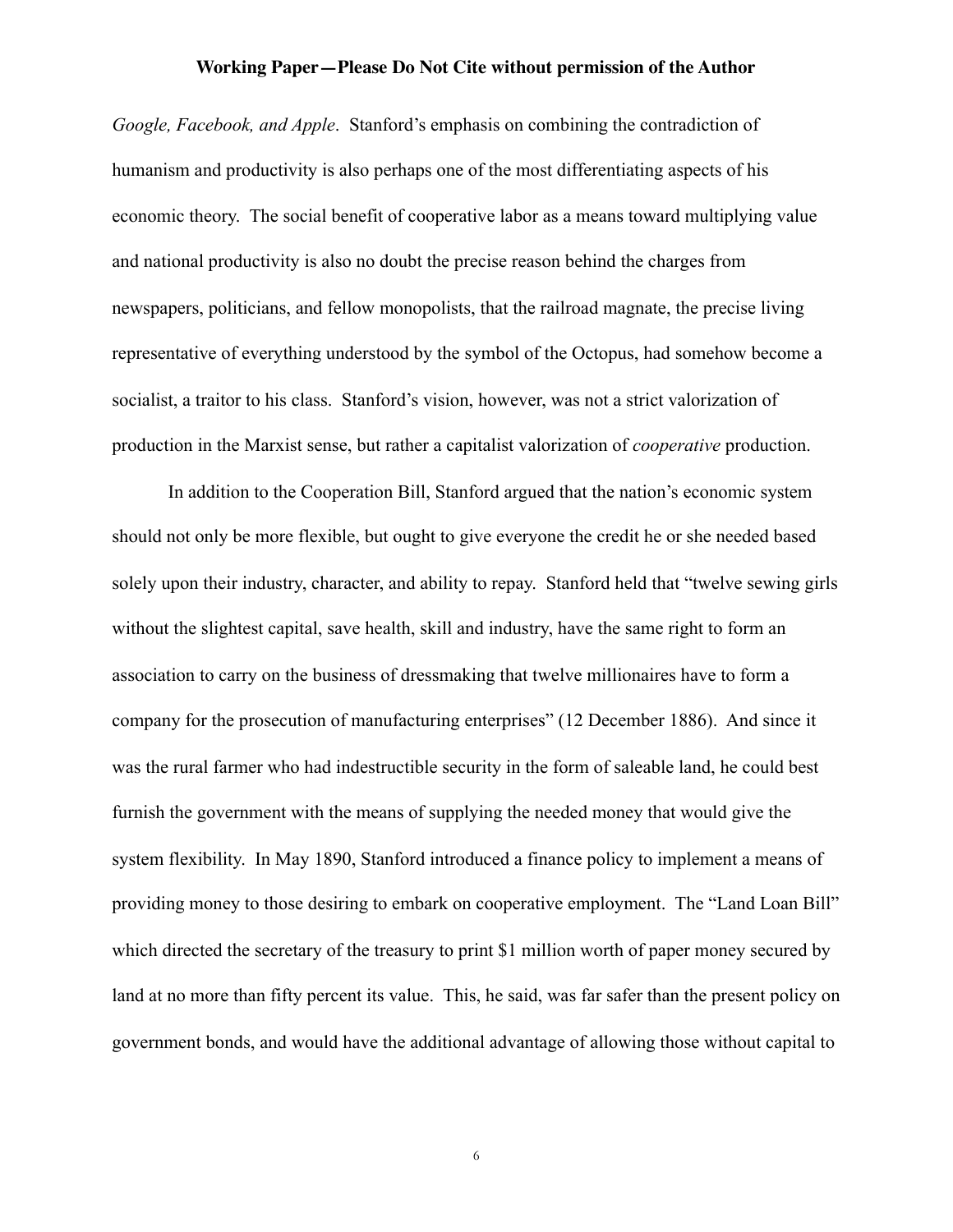*Google, Facebook, and Apple*. Stanford's emphasis on combining the contradiction of humanism and productivity is also perhaps one of the most differentiating aspects of his economic theory. The social benefit of cooperative labor as a means toward multiplying value and national productivity is also no doubt the precise reason behind the charges from newspapers, politicians, and fellow monopolists, that the railroad magnate, the precise living representative of everything understood by the symbol of the Octopus, had somehow become a socialist, a traitor to his class. Stanford's vision, however, was not a strict valorization of production in the Marxist sense, but rather a capitalist valorization of *cooperative* production.

In addition to the Cooperation Bill, Stanford argued that the nation's economic system should not only be more flexible, but ought to give everyone the credit he or she needed based solely upon their industry, character, and ability to repay. Stanford held that "twelve sewing girls without the slightest capital, save health, skill and industry, have the same right to form an association to carry on the business of dressmaking that twelve millionaires have to form a company for the prosecution of manufacturing enterprises" (12 December 1886). And since it was the rural farmer who had indestructible security in the form of saleable land, he could best furnish the government with the means of supplying the needed money that would give the system flexibility. In May 1890, Stanford introduced a finance policy to implement a means of providing money to those desiring to embark on cooperative employment. The "Land Loan Bill" which directed the secretary of the treasury to print \$1 million worth of paper money secured by land at no more than fifty percent its value. This, he said, was far safer than the present policy on government bonds, and would have the additional advantage of allowing those without capital to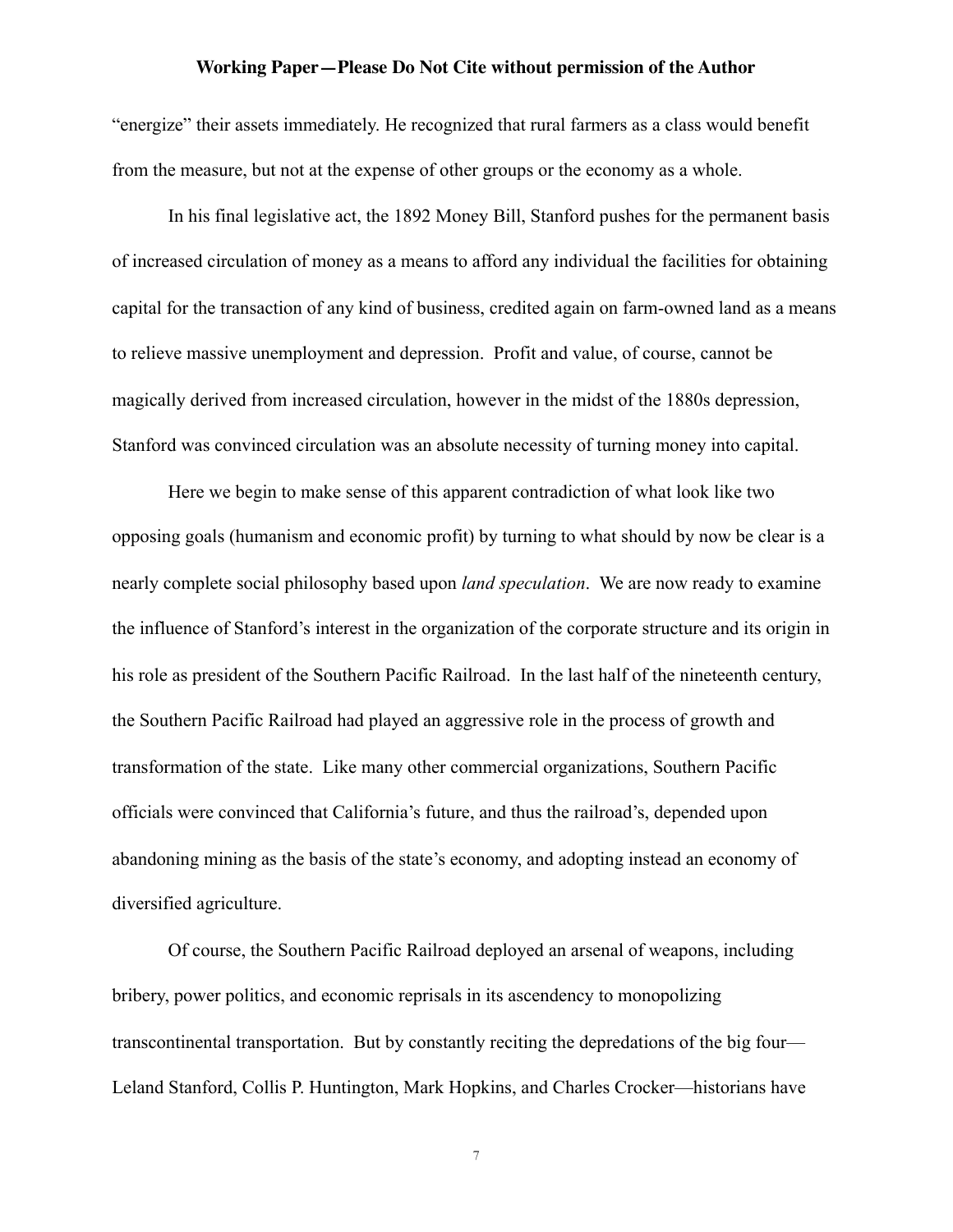"energize" their assets immediately. He recognized that rural farmers as a class would benefit from the measure, but not at the expense of other groups or the economy as a whole.

In his final legislative act, the 1892 Money Bill, Stanford pushes for the permanent basis of increased circulation of money as a means to afford any individual the facilities for obtaining capital for the transaction of any kind of business, credited again on farm-owned land as a means to relieve massive unemployment and depression. Profit and value, of course, cannot be magically derived from increased circulation, however in the midst of the 1880s depression, Stanford was convinced circulation was an absolute necessity of turning money into capital.

Here we begin to make sense of this apparent contradiction of what look like two opposing goals (humanism and economic profit) by turning to what should by now be clear is a nearly complete social philosophy based upon *land speculation*. We are now ready to examine the influence of Stanford's interest in the organization of the corporate structure and its origin in his role as president of the Southern Pacific Railroad. In the last half of the nineteenth century, the Southern Pacific Railroad had played an aggressive role in the process of growth and transformation of the state. Like many other commercial organizations, Southern Pacific officials were convinced that California's future, and thus the railroad's, depended upon abandoning mining as the basis of the state's economy, and adopting instead an economy of diversified agriculture.

Of course, the Southern Pacific Railroad deployed an arsenal of weapons, including bribery, power politics, and economic reprisals in its ascendency to monopolizing transcontinental transportation. But by constantly reciting the depredations of the big four— Leland Stanford, Collis P. Huntington, Mark Hopkins, and Charles Crocker—historians have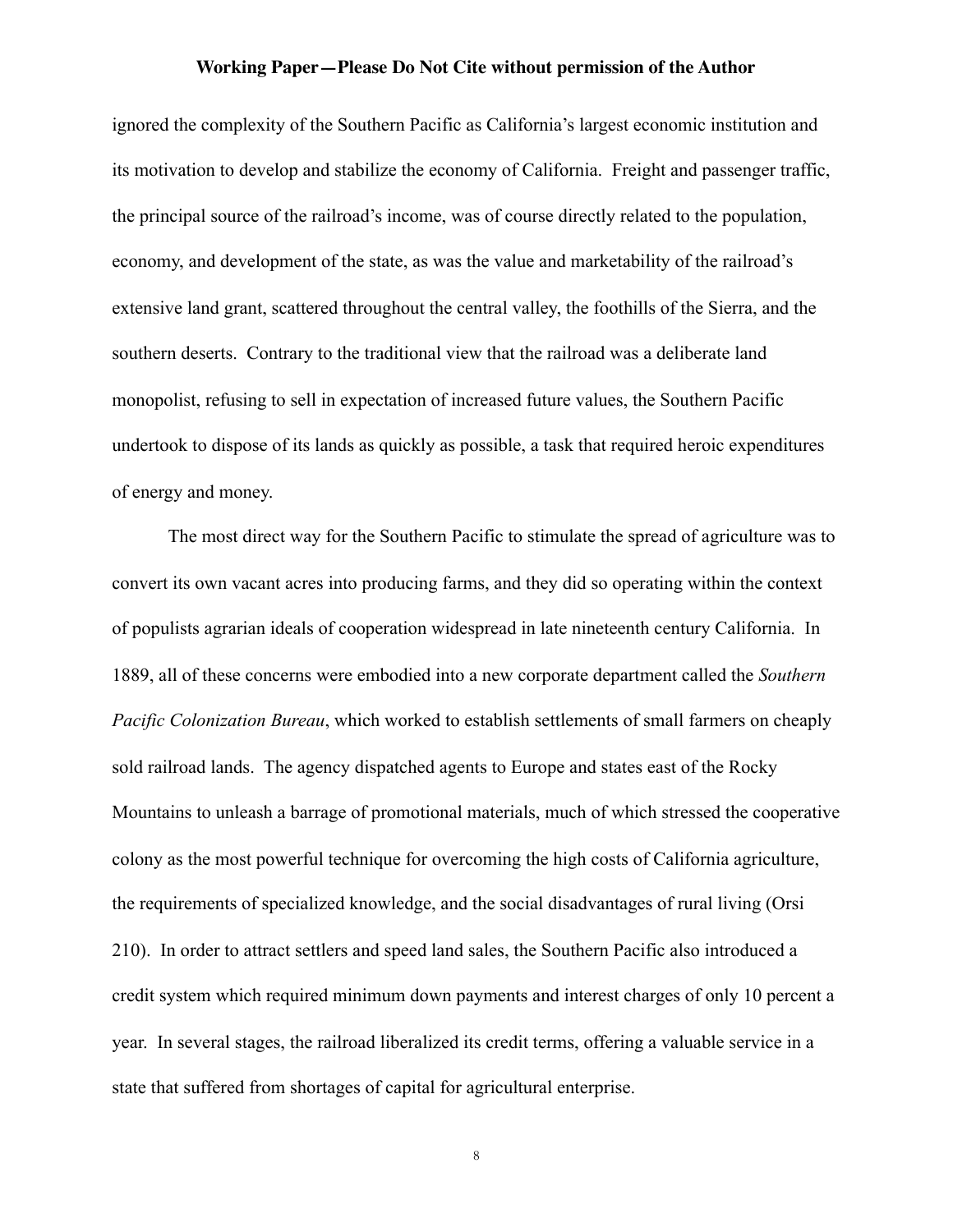ignored the complexity of the Southern Pacific as California's largest economic institution and its motivation to develop and stabilize the economy of California. Freight and passenger traffic, the principal source of the railroad's income, was of course directly related to the population, economy, and development of the state, as was the value and marketability of the railroad's extensive land grant, scattered throughout the central valley, the foothills of the Sierra, and the southern deserts. Contrary to the traditional view that the railroad was a deliberate land monopolist, refusing to sell in expectation of increased future values, the Southern Pacific undertook to dispose of its lands as quickly as possible, a task that required heroic expenditures of energy and money.

The most direct way for the Southern Pacific to stimulate the spread of agriculture was to convert its own vacant acres into producing farms, and they did so operating within the context of populists agrarian ideals of cooperation widespread in late nineteenth century California. In 1889, all of these concerns were embodied into a new corporate department called the *Southern Pacific Colonization Bureau*, which worked to establish settlements of small farmers on cheaply sold railroad lands. The agency dispatched agents to Europe and states east of the Rocky Mountains to unleash a barrage of promotional materials, much of which stressed the cooperative colony as the most powerful technique for overcoming the high costs of California agriculture, the requirements of specialized knowledge, and the social disadvantages of rural living (Orsi 210). In order to attract settlers and speed land sales, the Southern Pacific also introduced a credit system which required minimum down payments and interest charges of only 10 percent a year. In several stages, the railroad liberalized its credit terms, offering a valuable service in a state that suffered from shortages of capital for agricultural enterprise.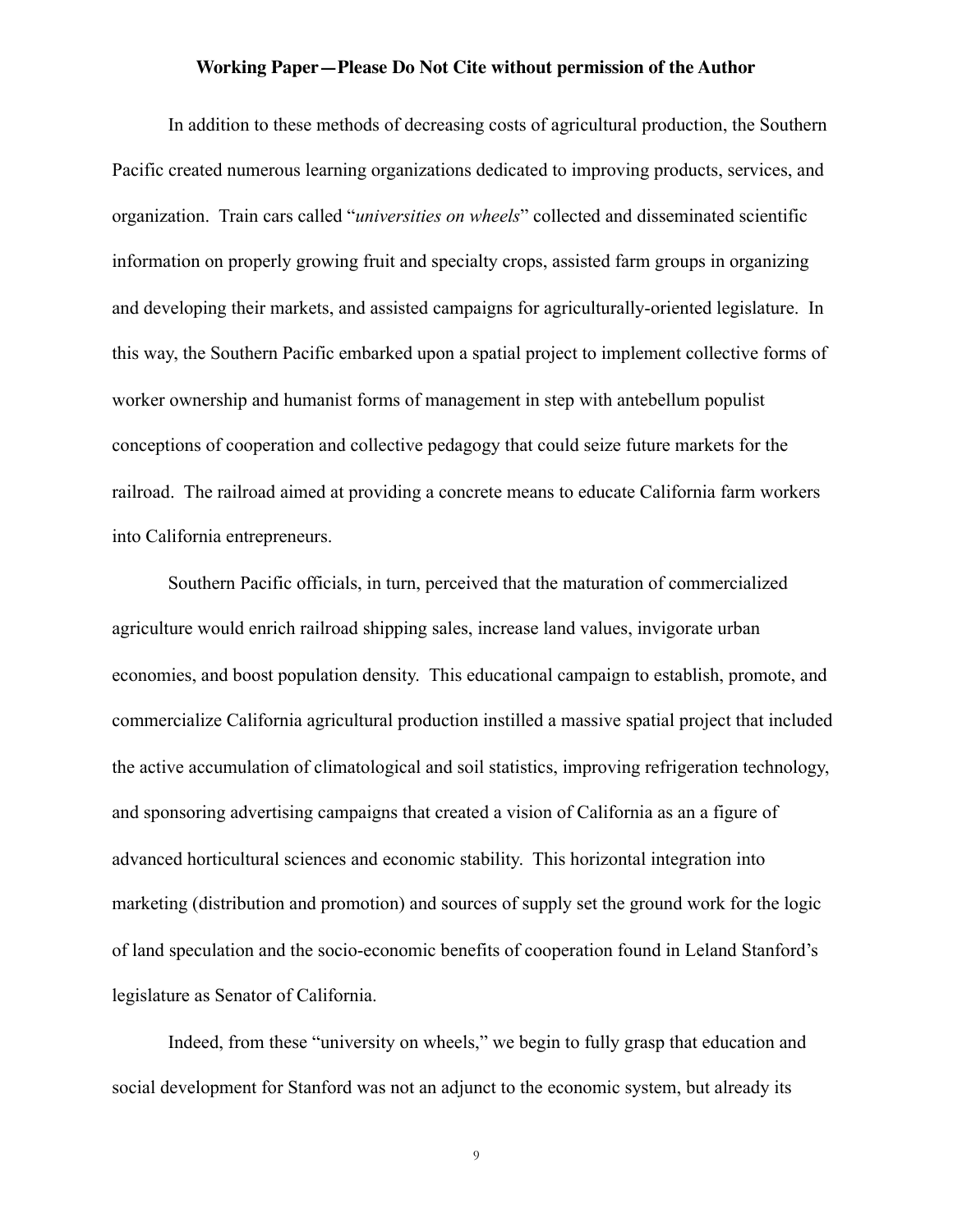In addition to these methods of decreasing costs of agricultural production, the Southern Pacific created numerous learning organizations dedicated to improving products, services, and organization. Train cars called "*universities on wheels*" collected and disseminated scientific information on properly growing fruit and specialty crops, assisted farm groups in organizing and developing their markets, and assisted campaigns for agriculturally-oriented legislature. In this way, the Southern Pacific embarked upon a spatial project to implement collective forms of worker ownership and humanist forms of management in step with antebellum populist conceptions of cooperation and collective pedagogy that could seize future markets for the railroad. The railroad aimed at providing a concrete means to educate California farm workers into California entrepreneurs.

Southern Pacific officials, in turn, perceived that the maturation of commercialized agriculture would enrich railroad shipping sales, increase land values, invigorate urban economies, and boost population density. This educational campaign to establish, promote, and commercialize California agricultural production instilled a massive spatial project that included the active accumulation of climatological and soil statistics, improving refrigeration technology, and sponsoring advertising campaigns that created a vision of California as an a figure of advanced horticultural sciences and economic stability. This horizontal integration into marketing (distribution and promotion) and sources of supply set the ground work for the logic of land speculation and the socio-economic benefits of cooperation found in Leland Stanford's legislature as Senator of California.

Indeed, from these "university on wheels," we begin to fully grasp that education and social development for Stanford was not an adjunct to the economic system, but already its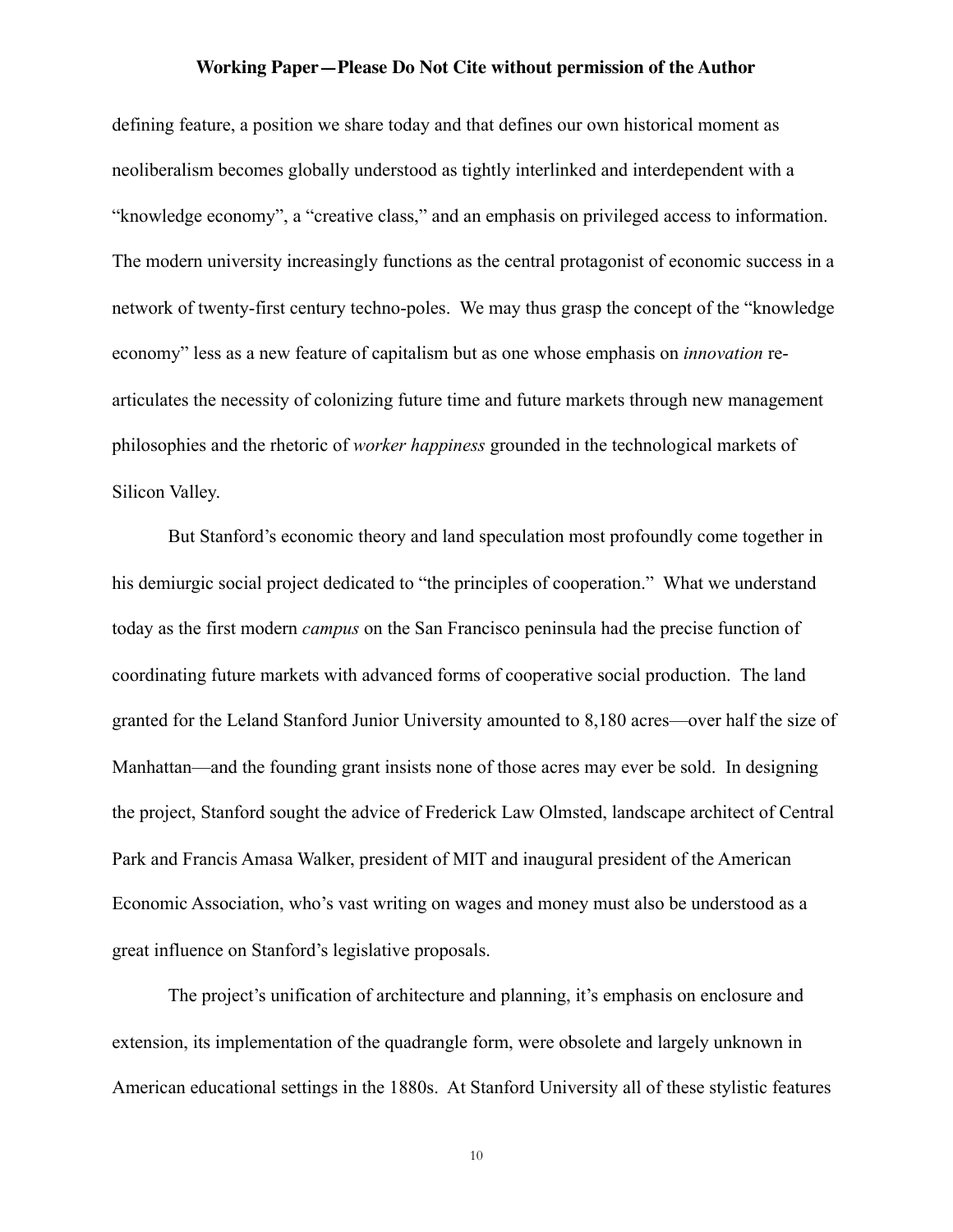defining feature, a position we share today and that defines our own historical moment as neoliberalism becomes globally understood as tightly interlinked and interdependent with a "knowledge economy", a "creative class," and an emphasis on privileged access to information. The modern university increasingly functions as the central protagonist of economic success in a network of twenty-first century techno-poles. We may thus grasp the concept of the "knowledge economy" less as a new feature of capitalism but as one whose emphasis on *innovation* rearticulates the necessity of colonizing future time and future markets through new management philosophies and the rhetoric of *worker happiness* grounded in the technological markets of Silicon Valley.

But Stanford's economic theory and land speculation most profoundly come together in his demiurgic social project dedicated to "the principles of cooperation." What we understand today as the first modern *campus* on the San Francisco peninsula had the precise function of coordinating future markets with advanced forms of cooperative social production. The land granted for the Leland Stanford Junior University amounted to 8,180 acres—over half the size of Manhattan—and the founding grant insists none of those acres may ever be sold. In designing the project, Stanford sought the advice of Frederick Law Olmsted, landscape architect of Central Park and Francis Amasa Walker, president of MIT and inaugural president of the American Economic Association, who's vast writing on wages and money must also be understood as a great influence on Stanford's legislative proposals.

The project's unification of architecture and planning, it's emphasis on enclosure and extension, its implementation of the quadrangle form, were obsolete and largely unknown in American educational settings in the 1880s. At Stanford University all of these stylistic features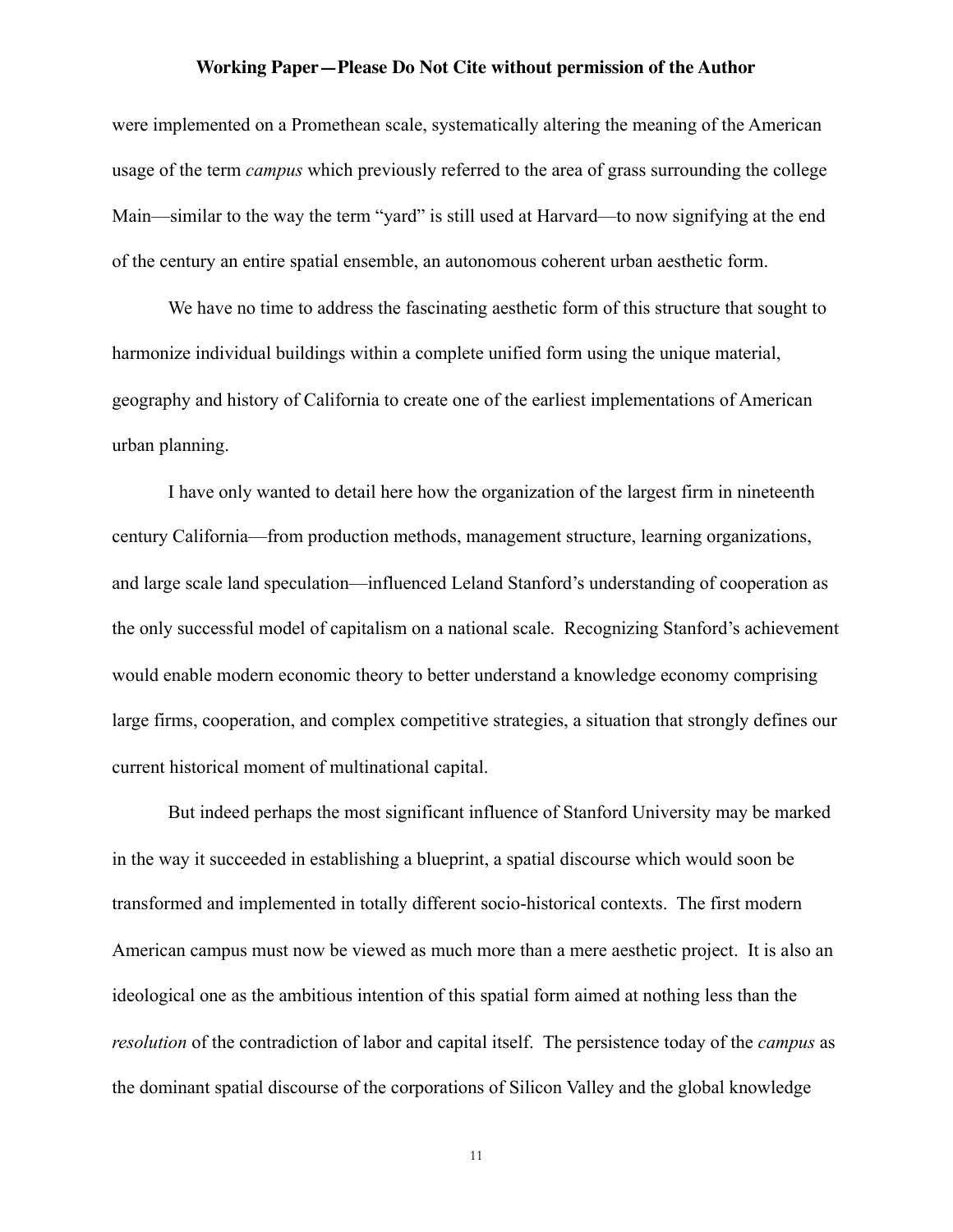were implemented on a Promethean scale, systematically altering the meaning of the American usage of the term *campus* which previously referred to the area of grass surrounding the college Main—similar to the way the term "yard" is still used at Harvard—to now signifying at the end of the century an entire spatial ensemble, an autonomous coherent urban aesthetic form.

We have no time to address the fascinating aesthetic form of this structure that sought to harmonize individual buildings within a complete unified form using the unique material, geography and history of California to create one of the earliest implementations of American urban planning.

I have only wanted to detail here how the organization of the largest firm in nineteenth century California—from production methods, management structure, learning organizations, and large scale land speculation—influenced Leland Stanford's understanding of cooperation as the only successful model of capitalism on a national scale. Recognizing Stanford's achievement would enable modern economic theory to better understand a knowledge economy comprising large firms, cooperation, and complex competitive strategies, a situation that strongly defines our current historical moment of multinational capital.

But indeed perhaps the most significant influence of Stanford University may be marked in the way it succeeded in establishing a blueprint, a spatial discourse which would soon be transformed and implemented in totally different socio-historical contexts. The first modern American campus must now be viewed as much more than a mere aesthetic project. It is also an ideological one as the ambitious intention of this spatial form aimed at nothing less than the *resolution* of the contradiction of labor and capital itself. The persistence today of the *campus* as the dominant spatial discourse of the corporations of Silicon Valley and the global knowledge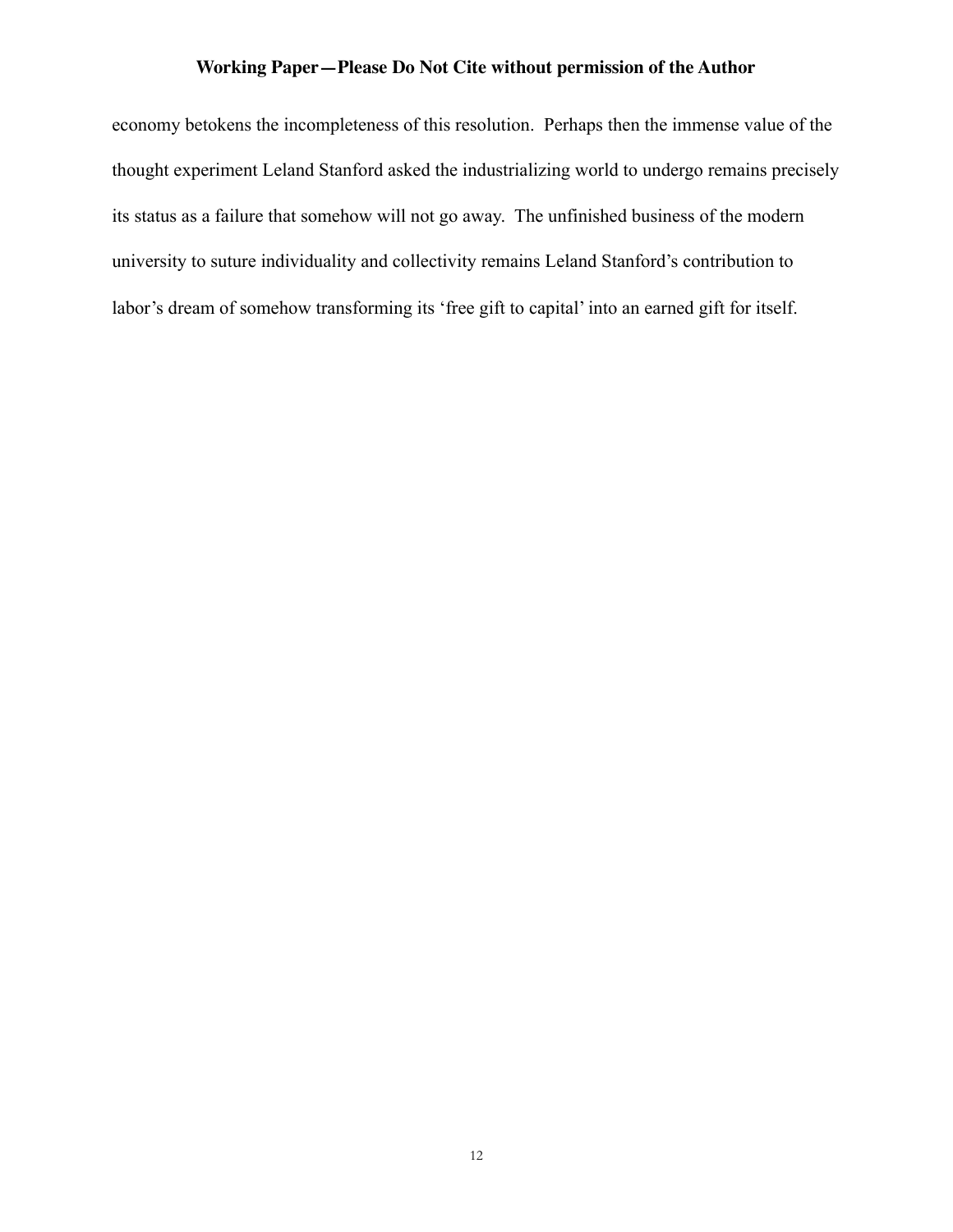economy betokens the incompleteness of this resolution. Perhaps then the immense value of the thought experiment Leland Stanford asked the industrializing world to undergo remains precisely its status as a failure that somehow will not go away. The unfinished business of the modern university to suture individuality and collectivity remains Leland Stanford's contribution to labor's dream of somehow transforming its 'free gift to capital' into an earned gift for itself.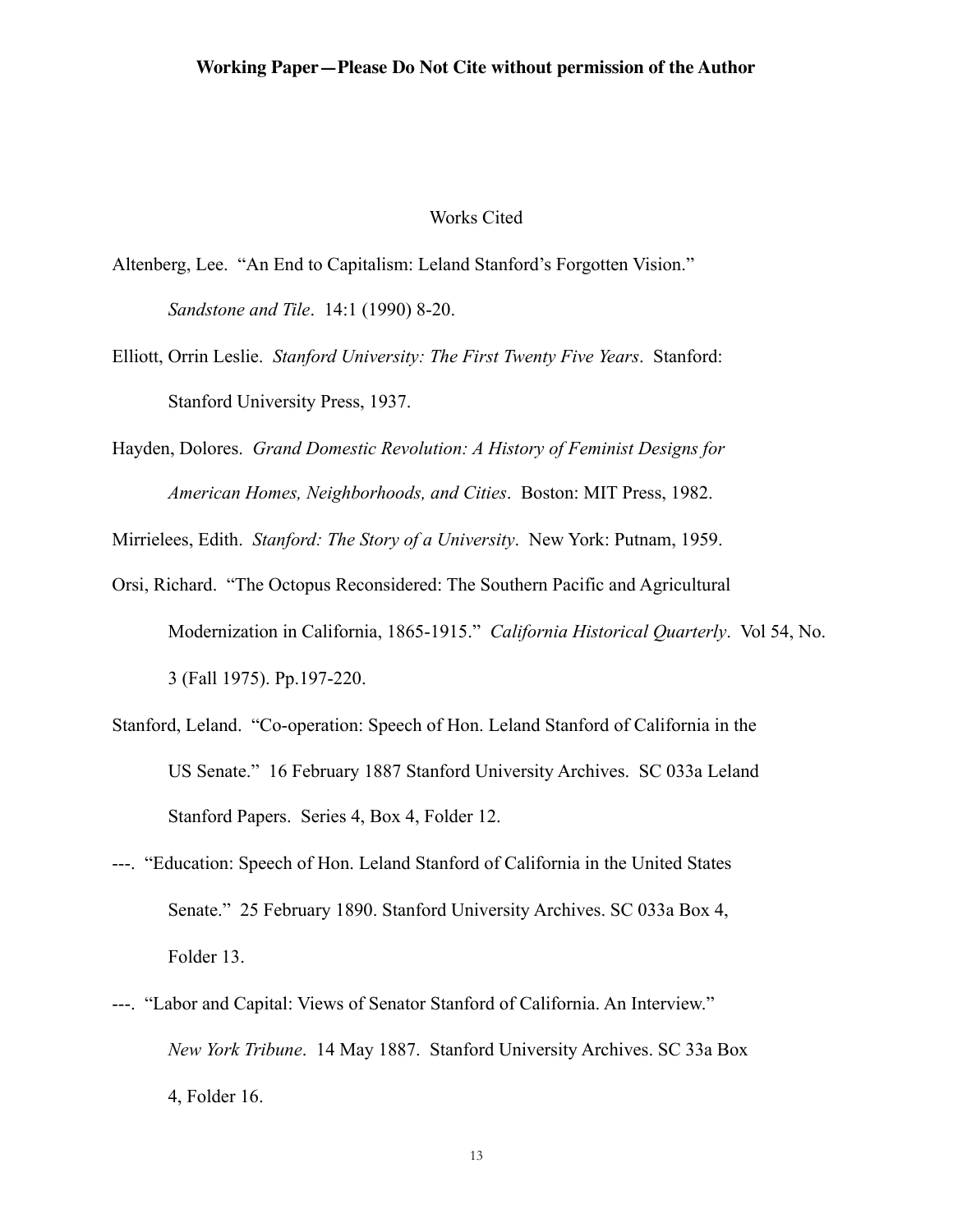#### Works Cited

- Altenberg, Lee. "An End to Capitalism: Leland Stanford's Forgotten Vision." *Sandstone and Tile*. 14:1 (1990) 8-20.
- Elliott, Orrin Leslie. *Stanford University: The First Twenty Five Years*. Stanford: Stanford University Press, 1937.
- Hayden, Dolores. *Grand Domestic Revolution: A History of Feminist Designs for American Homes, Neighborhoods, and Cities*. Boston: MIT Press, 1982.

Mirrielees, Edith. *Stanford: The Story of a University*. New York: Putnam, 1959.

- Orsi, Richard. "The Octopus Reconsidered: The Southern Pacific and Agricultural Modernization in California, 1865-1915." *California Historical Quarterly*. Vol 54, No. 3 (Fall 1975). Pp.197-220.
- Stanford, Leland. "Co-operation: Speech of Hon. Leland Stanford of California in the US Senate." 16 February 1887 Stanford University Archives. SC 033a Leland Stanford Papers. Series 4, Box 4, Folder 12.
- ---. "Education: Speech of Hon. Leland Stanford of California in the United States Senate." 25 February 1890. Stanford University Archives. SC 033a Box 4, Folder 13.
- ---. "Labor and Capital: Views of Senator Stanford of California. An Interview." *New York Tribune*. 14 May 1887. Stanford University Archives. SC 33a Box 4, Folder 16.